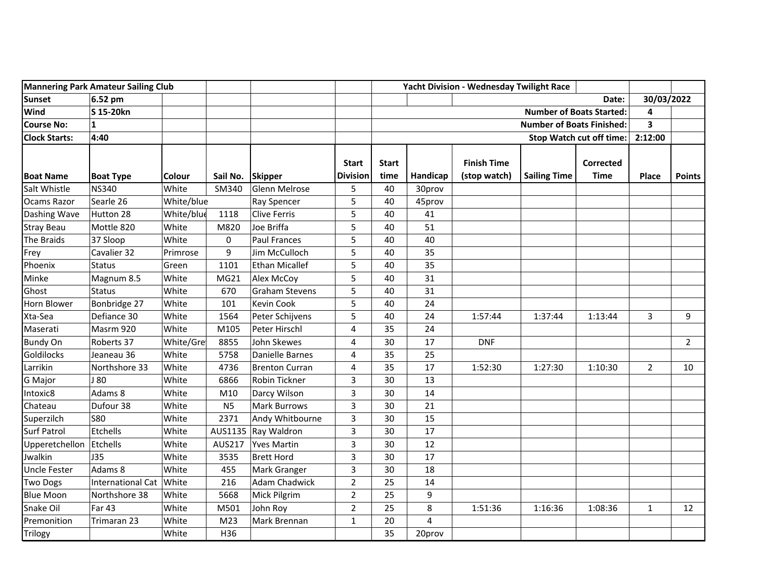| <b>Mannering Park Amateur Sailing Club</b> |                   |               |                | Yacht Division - Wednesday Twilight Race |                                  |                      |          |                                    |                     |                                 |                |                |
|--------------------------------------------|-------------------|---------------|----------------|------------------------------------------|----------------------------------|----------------------|----------|------------------------------------|---------------------|---------------------------------|----------------|----------------|
| <b>Sunset</b>                              | 6.52 pm           |               |                |                                          |                                  |                      |          |                                    |                     | Date:                           | 30/03/2022     |                |
| Wind                                       | S 15-20kn         |               |                |                                          | <b>Number of Boats Started:</b>  |                      |          |                                    |                     | 4                               |                |                |
| <b>Course No:</b>                          | 1                 |               |                |                                          | <b>Number of Boats Finished:</b> |                      |          |                                    |                     | $\overline{\mathbf{3}}$         |                |                |
| <b>Clock Starts:</b>                       | 4:40              |               |                |                                          | Stop Watch cut off time:         |                      |          |                                    | 2:12:00             |                                 |                |                |
| <b>Boat Name</b>                           | <b>Boat Type</b>  | <b>Colour</b> | Sail No.       | <b>Skipper</b>                           | <b>Start</b><br><b>Division</b>  | <b>Start</b><br>time | Handicap | <b>Finish Time</b><br>(stop watch) | <b>Sailing Time</b> | <b>Corrected</b><br><b>Time</b> | <b>Place</b>   | <b>Points</b>  |
| Salt Whistle                               | <b>NS340</b>      | White         | SM340          | Glenn Melrose                            | 5                                | 40                   | 30prov   |                                    |                     |                                 |                |                |
| Ocams Razor                                | Searle 26         | White/blue    |                | Ray Spencer                              | 5                                | 40                   | 45prov   |                                    |                     |                                 |                |                |
| Dashing Wave                               | Hutton 28         | White/blue    | 1118           | Clive Ferris                             | 5                                | 40                   | 41       |                                    |                     |                                 |                |                |
| <b>Stray Beau</b>                          | Mottle 820        | White         | M820           | Joe Briffa                               | 5                                | 40                   | 51       |                                    |                     |                                 |                |                |
| The Braids                                 | 37 Sloop          | White         | 0              | <b>Paul Frances</b>                      | 5                                | 40                   | 40       |                                    |                     |                                 |                |                |
| Frey                                       | Cavalier 32       | Primrose      | 9              | Jim McCulloch                            | 5                                | 40                   | 35       |                                    |                     |                                 |                |                |
| Phoenix                                    | <b>Status</b>     | Green         | 1101           | Ethan Micallef                           | 5                                | 40                   | 35       |                                    |                     |                                 |                |                |
| Minke                                      | Magnum 8.5        | White         | MG21           | Alex McCoy                               | 5                                | 40                   | 31       |                                    |                     |                                 |                |                |
| Ghost                                      | <b>Status</b>     | White         | 670            | <b>Graham Stevens</b>                    | 5                                | 40                   | 31       |                                    |                     |                                 |                |                |
| Horn Blower                                | Bonbridge 27      | White         | 101            | <b>Kevin Cook</b>                        | 5                                | 40                   | 24       |                                    |                     |                                 |                |                |
| Xta-Sea                                    | Defiance 30       | White         | 1564           | Peter Schijvens                          | 5                                | 40                   | 24       | 1:57:44                            | 1:37:44             | 1:13:44                         | 3              | 9              |
| Maserati                                   | Masrm 920         | White         | M105           | Peter Hirschl                            | 4                                | 35                   | 24       |                                    |                     |                                 |                |                |
| <b>Bundy On</b>                            | Roberts 37        | White/Gre     | 8855           | John Skewes                              | 4                                | 30                   | 17       | <b>DNF</b>                         |                     |                                 |                | $\overline{2}$ |
| Goldilocks                                 | Jeaneau 36        | White         | 5758           | Danielle Barnes                          | 4                                | 35                   | 25       |                                    |                     |                                 |                |                |
| Larrikin                                   | Northshore 33     | White         | 4736           | Brenton Curran                           | 4                                | 35                   | 17       | 1:52:30                            | 1:27:30             | 1:10:30                         | $\overline{2}$ | 10             |
| <b>G</b> Major                             | J 80              | White         | 6866           | Robin Tickner                            | 3                                | 30                   | 13       |                                    |                     |                                 |                |                |
| Intoxic8                                   | Adams 8           | White         | M10            | Darcy Wilson                             | 3                                | 30                   | 14       |                                    |                     |                                 |                |                |
| Chateau                                    | Dufour 38         | White         | N <sub>5</sub> | <b>Mark Burrows</b>                      | 3                                | 30                   | 21       |                                    |                     |                                 |                |                |
| Superzilch                                 | <b>S80</b>        | White         | 2371           | Andy Whitbourne                          | 3                                | 30                   | 15       |                                    |                     |                                 |                |                |
| <b>Surf Patrol</b>                         | Etchells          | White         |                | AUS1135   Ray Waldron                    | 3                                | 30                   | 17       |                                    |                     |                                 |                |                |
| Upperetchellon                             | Etchells          | White         | AUS217         | Yves Martin                              | $\mathsf{3}$                     | 30                   | 12       |                                    |                     |                                 |                |                |
| Jwalkin                                    | J35               | White         | 3535           | <b>Brett Hord</b>                        | 3                                | 30                   | 17       |                                    |                     |                                 |                |                |
| <b>Uncle Fester</b>                        | Adams 8           | White         | 455            | Mark Granger                             | 3                                | 30                   | 18       |                                    |                     |                                 |                |                |
| <b>Two Dogs</b>                            | International Cat | White         | 216            | <b>Adam Chadwick</b>                     | $\overline{2}$                   | 25                   | 14       |                                    |                     |                                 |                |                |
| <b>Blue Moon</b>                           | Northshore 38     | White         | 5668           | Mick Pilgrim                             | $\overline{2}$                   | 25                   | 9        |                                    |                     |                                 |                |                |
| Snake Oil                                  | <b>Far 43</b>     | White         | M501           | John Roy                                 | $\overline{2}$                   | 25                   | 8        | 1:51:36                            | 1:16:36             | 1:08:36                         | 1              | 12             |
| Premonition                                | Trimaran 23       | White         | M23            | Mark Brennan                             | $\mathbf{1}$                     | 20                   | 4        |                                    |                     |                                 |                |                |
| Trilogy                                    |                   | White         | H36            |                                          |                                  | 35                   | 20prov   |                                    |                     |                                 |                |                |